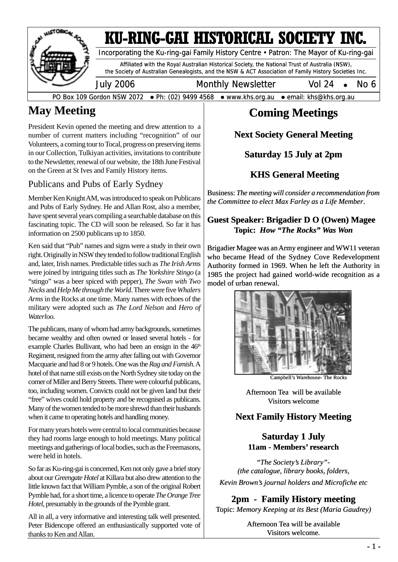

# **May Meeting**

President Kevin opened the meeting and drew attention to a number of current matters including "recognition" of our Volunteers, a coming tour to Tocal, progress on preserving items in our Collection, Tulkiyan activities, invitations to contribute to the Newsletter, renewal of our website, the 18th June Festival on the Green at St Ives and Family History items.

### Publicans and Pubs of Early Sydney

Member Ken Knight AM, was introduced to speak on Publicans and Pubs of Early Sydney. He and Allan Rost, also a member, have spent several years compiling a searchable database on this fascinating topic. The CD will soon be released. So far it has information on 2500 publicans up to 1850.

Ken said that "Pub" names and signs were a study in their own right. Originally in NSW they tended to follow traditional English and, later, Irish names. Predictable titles such as *The Irish Arms* were joined by intriguing titles such as *The Yorkshire Stingo* (a "stingo" was a beer spiced with pepper), *The Swan with Two Necks* and *Help Me through the World*. There were five *Whalers Arms* in the Rocks at one time. Many names with echoes of the military were adopted such as *The Lord Nelson* and *Hero of Waterloo.*

The publicans, many of whom had army backgrounds, sometimes became wealthy and often owned or leased several hotels - for example Charles Bullivant, who had been an ensign in the 46<sup>th</sup> Regiment, resigned from the army after falling out with Governor Macquarie and had 8 or 9 hotels. One was the *Rag and Famish*. A hotel of that name still exists on the North Sydney site today on the corner of Miller and Berry Streets. There were colourful publicans, too, including women. Convicts could not be given land but their "free" wives could hold property and be recognised as publicans. Many of the women tended to be more shrewd than their husbands when it came to operating hotels and handling money.

For many years hotels were central to local communities because they had rooms large enough to hold meetings. Many political meetings and gatherings of local bodies, such as the Freemasons, were held in hotels.

So far as Ku-ring-gai is concerned, Ken not only gave a brief story about our *Greengate Hotel* at Killara but also drew attention to the little known fact that William Pymble, a son of the original Robert Pymble had, for a short time, a licence to operate *The Orange Tree Hotel*, presumably in the grounds of the Pymble grant.

All in all, a very informative and interesting talk well presented. Peter Bidencope offered an enthusiastically supported vote of thanks to Ken and Allan.

# **Coming Meetings**

### **Next Society General Meeting**

### **Saturday 15 July at 2pm**

### **KHS General Meeting**

Business: *The meeting will consider a recommendation from the Committee to elect Max Farley as a Life Member*.

### **Guest Speaker: Brigadier D O (Owen) Magee Topic:** *How "The Rocks" Was Won*

Brigadier Magee was an Army engineer and WW11 veteran who became Head of the Sydney Cove Redevelopment Authority formed in 1969. When he left the Authority in 1985 the project had gained world-wide recognition as a model of urban renewal.



Campbell's Warehouse- The Rocks

Afternoon Tea will be available Visitors welcome

### **Next Family History Meeting**

#### **Saturday 1 July 11am - Members' research**

"*The Society's Library"- (the catalogue, library books, folders, Kevin Brown's journal holders and Microfiche etc*

### **2pm - Family History meeting**

Topic: *Memory Keeping at its Best (Maria Gaudrey)*

Afternoon Tea will be available Visitors welcome*.*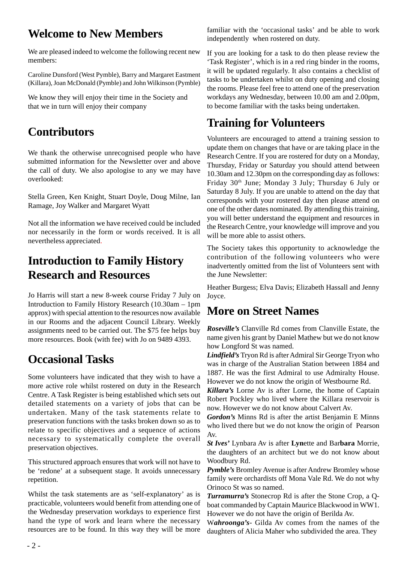### **Welcome to New Members**

We are pleased indeed to welcome the following recent new members:

Caroline Dunsford (West Pymble), Barry and Margaret Eastment (Killara), Joan McDonald (Pymble) and John Wilkinson (Pymble)

We know they will enjoy their time in the Society and that we in turn will enjoy their company

# **Contributors**

We thank the otherwise unrecognised people who have submitted information for the Newsletter over and above the call of duty. We also apologise to any we may have overlooked:

Stella Green, Ken Knight, Stuart Doyle, Doug Milne, Ian Ramage, Joy Walker and Margaret Wyatt

Not all the information we have received could be included nor necessarily in the form or words received. It is all nevertheless appreciated.

### **Introduction to Family History Research and Resources**

Jo Harris will start a new 8-week course Friday 7 July on Introduction to Family History Research (10.30am – 1pm approx) with special attention to the resources now available in our Rooms and the adjacent Council Library. Weekly assignments need to be carried out. The \$75 fee helps buy more resources. Book (with fee) with Jo on 9489 4393.

# **Occasional Tasks**

Some volunteers have indicated that they wish to have a more active role whilst rostered on duty in the Research Centre. A Task Register is being established which sets out detailed statements on a variety of jobs that can be undertaken. Many of the task statements relate to preservation functions with the tasks broken down so as to relate to specific objectives and a sequence of actions necessary to systematically complete the overall preservation objectives.

This structured approach ensures that work will not have to be 'redone' at a subsequent stage. It avoids unnecessary repetition.

Whilst the task statements are as 'self-explanatory' as is practicable, volunteers would benefit from attending one of the Wednesday preservation workdays to experience first hand the type of work and learn where the necessary resources are to be found. In this way they will be more familiar with the 'occasional tasks' and be able to work independently when rostered on duty.

If you are looking for a task to do then please review the 'Task Register', which is in a red ring binder in the rooms, it will be updated regularly. It also contains a checklist of tasks to be undertaken whilst on duty opening and closing the rooms. Please feel free to attend one of the preservation workdays any Wednesday, between 10.00 am and 2.00pm, to become familiar with the tasks being undertaken.

# **Training for Volunteers**

Volunteers are encouraged to attend a training session to update them on changes that have or are taking place in the Research Centre. If you are rostered for duty on a Monday, Thursday, Friday or Saturday you should attend between 10.30am and 12.30pm on the corresponding day as follows: Friday 30<sup>th</sup> June; Monday 3 July; Thursday 6 July or Saturday 8 July. If you are unable to attend on the day that corresponds with your rostered day then please attend on one of the other dates nominated. By attending this training, you will better understand the equipment and resources in the Research Centre, your knowledge will improve and you will be more able to assist others.

The Society takes this opportunity to acknowledge the contribution of the following volunteers who were inadvertently omitted from the list of Volunteers sent with the June Newsletter:

Heather Burgess; Elva Davis; Elizabeth Hassall and Jenny Joyce.

### **More on Street Names**

*Roseville's* Clanville Rd comes from Clanville Estate, the name given his grant by Daniel Mathew but we do not know how Longford St was named.

*Lindfield's* Tryon Rd is after Admiral Sir George Tryon who was in charge of the Australian Station between 1884 and 1887. He was the first Admiral to use Admiralty House. However we do not know the origin of Westbourne Rd.

*Killara's* Lorne Av is after Lorne, the home of Captain Robert Pockley who lived where the Killara reservoir is now. However we do not know about Calvert Av.

*Gordon's* Minns Rd is after the artist Benjamin E Minns who lived there but we do not know the origin of Pearson Av.

*St Ives'* Lynbara Av is after **Lyn**ette and Bar**bara** Morrie, the daughters of an architect but we do not know about Woodbury Rd.

*Pymble's* Bromley Avenue is after Andrew Bromley whose family were orchardists off Mona Vale Rd. We do not why Orinoco St was so named.

*Turramurra's* Stonecrop Rd is after the Stone Crop, a Qboat commanded by Captain Maurice Blackwood in WW1. However we do not have the origin of Berilda Av.

W*ahroonga's*- Gilda Av comes from the names of the daughters of Alicia Maher who subdivided the area. They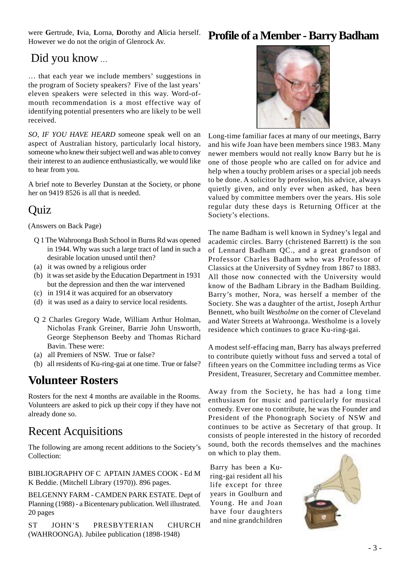were **G**ertrude, **I**via, **L**orna, **D**orothy and **A**licia herself. However we do not the origin of Glenrock Av.

### **Profile of a Member - Barry Badham**

### Did you know …

… that each year we include members' suggestions in the program of Society speakers? Five of the last years' eleven speakers were selected in this way. Word-ofmouth recommendation is a most effective way of identifying potential presenters who are likely to be well received.

*SO, IF YOU HAVE HEARD* someone speak well on an aspect of Australian history, particularly local history, someone who knew their subject well and was able to convey their interest to an audience enthusiastically, we would like to hear from you.

A brief note to Beverley Dunstan at the Society, or phone her on 9419 8526 is all that is needed.

### Quiz

(Answers on Back Page)

- Q 1 The Wahroonga Bush School in Burns Rd was opened in 1944. Why was such a large tract of land in such a desirable location unused until then?
- (a) it was owned by a religious order
- (b) it was set aside by the Education Department in 1931 but the depression and then the war intervened
- (c) in 1914 it was acquired for an observatory
- (d) it was used as a dairy to service local residents.
- Q 2 Charles Gregory Wade, William Arthur Holman, Nicholas Frank Greiner, Barrie John Unsworth, George Stephenson Beeby and Thomas Richard Bavin. These were:
- (a) all Premiers of NSW. True or false?
- (b) all residents of Ku-ring-gai at one time. True or false?

### **Volunteer Rosters**

Rosters for the next 4 months are available in the Rooms. Volunteers are asked to pick up their copy if they have not already done so.

### Recent Acquisitions

The following are among recent additions to the Society's Collection:

BIBLIOGRAPHY OF C APTAIN JAMES COOK - Ed M K Beddie. (Mitchell Library (1970)). 896 pages.

BELGENNY FARM - CAMDEN PARK ESTATE. Dept of Planning (1988) - a Bicentenary publication. Well illustrated. 20 pages

ST JOHN'S PRESBYTERIAN CHURCH (WAHROONGA). Jubilee publication (1898-1948)



Long-time familiar faces at many of our meetings, Barry and his wife Joan have been members since 1983. Many newer members would not really know Barry but he is one of those people who are called on for advice and help when a touchy problem arises or a special job needs to be done. A solicitor by profession, his advice, always quietly given, and only ever when asked, has been valued by committee members over the years. His sole regular duty these days is Returning Officer at the Society's elections.

The name Badham is well known in Sydney's legal and academic circles. Barry (christened Barrett) is the son of Lennard Badham QC., and a great grandson of Professor Charles Badham who was Professor of Classics at the University of Sydney from 1867 to 1883. All those now connected with the University would know of the Badham Library in the Badham Building. Barry's mother, Nora, was herself a member of the Society. She was a daughter of the artist, Joseph Arthur Bennett, who built *Westholme* on the corner of Cleveland and Water Streets at Wahroonga. Westholme is a lovely residence which continues to grace Ku-ring-gai.

A modest self-effacing man, Barry has always preferred to contribute quietly without fuss and served a total of fifteen years on the Committee including terms as Vice President, Treasurer, Secretary and Committee member.

Away from the Society, he has had a long time enthusiasm for music and particularly for musical comedy. Ever one to contribute, he was the Founder and President of the Phonograph Society of NSW and continues to be active as Secretary of that group. It consists of people interested in the history of recorded sound, both the records themselves and the machines on which to play them.

Barry has been a Kuring-gai resident all his life except for three years in Goulburn and Young. He and Joan have four daughters and nine grandchildren

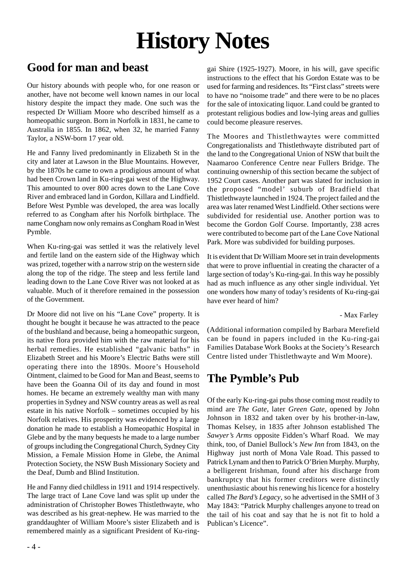# **History Notes**

### **Good for man and beast**

Our history abounds with people who, for one reason or another, have not become well known names in our local history despite the impact they made. One such was the respected Dr William Moore who described himself as a homeopathic surgeon. Born in Norfolk in 1831, he came to Australia in 1855. In 1862, when 32, he married Fanny Taylor, a NSW-born 17 year old.

He and Fanny lived predominantly in Elizabeth St in the city and later at Lawson in the Blue Mountains. However, by the 1870s he came to own a prodigious amount of what had been Crown land in Ku-ring-gai west of the Highway. This amounted to over 800 acres down to the Lane Cove River and embraced land in Gordon, Killara and Lindfield. Before West Pymble was developed, the area was locally referred to as Congham after his Norfolk birthplace. The name Congham now only remains as Congham Road in West Pymble.

When Ku-ring-gai was settled it was the relatively level and fertile land on the eastern side of the Highway which was prized, together with a narrow strip on the western side along the top of the ridge. The steep and less fertile land leading down to the Lane Cove River was not looked at as valuable. Much of it therefore remained in the possession of the Government.

Dr Moore did not live on his "Lane Cove" property. It is thought he bought it because he was attracted to the peace of the bushland and because, being a homeopathic surgeon, its native flora provided him with the raw material for his herbal remedies. He established "galvanic baths" in Elizabeth Street and his Moore's Electric Baths were still operating there into the 1890s. Moore's Household Ointment, claimed to be Good for Man and Beast, seems to have been the Goanna Oil of its day and found in most homes. He became an extremely wealthy man with many properties in Sydney and NSW country areas as well as real estate in his native Norfolk – sometimes occupied by his Norfolk relatives. His prosperity was evidenced by a large donation he made to establish a Homeopathic Hospital in Glebe and by the many bequests he made to a large number of groups including the Congregational Church, Sydney City Mission, a Female Mission Home in Glebe, the Animal Protection Society, the NSW Bush Missionary Society and the Deaf, Dumb and Blind Institution.

He and Fanny died childless in 1911 and 1914 respectively. The large tract of Lane Cove land was split up under the administration of Christopher Bowes Thistlethwayte, who was described as his great-nephew. He was married to the granddaughter of William Moore's sister Elizabeth and is remembered mainly as a significant President of Ku-ringgai Shire (1925-1927). Moore, in his will, gave specific instructions to the effect that his Gordon Estate was to be used for farming and residences. Its "First class" streets were to have no "noisome trade" and there were to be no places for the sale of intoxicating liquor. Land could be granted to protestant religious bodies and low-lying areas and gullies could become pleasure reserves.

The Moores and Thistlethwaytes were committed Congregationalists and Thistlethwayte distributed part of the land to the Congregational Union of NSW that built the Naamaroo Conference Centre near Fullers Bridge. The continuing ownership of this section became the subject of 1952 Court cases. Another part was slated for inclusion in the proposed "model' suburb of Bradfield that Thistlethwayte launched in 1924. The project failed and the area was later renamed West Lindfield. Other sections were subdivided for residential use. Another portion was to become the Gordon Golf Course. Importantly, 238 acres were contributed to become part of the Lane Cove National Park. More was subdivided for building purposes.

It is evident that Dr William Moore set in train developments that were to prove influential in creating the character of a large section of today's Ku-ring-gai. In this way he possibly had as much influence as any other single individual. Yet one wonders how many of today's residents of Ku-ring-gai have ever heard of him?

- Max Farley

(Additional information compiled by Barbara Merefield can be found in papers included in the Ku-ring-gai Families Database Work Books at the Society's Research Centre listed under Thistlethwayte and Wm Moore).

# **The Pymble's Pub**

Of the early Ku-ring-gai pubs those coming most readily to mind are *The Gate*, later *Green Gate*, opened by John Johnson in 1832 and taken over by his brother-in-law, Thomas Kelsey, in 1835 after Johnson established The *Sawyer's Arms* opposite Fidden's Wharf Road. We may think, too, of Daniel Bullock's *New Inn* from 1843, on the Highway just north of Mona Vale Road. This passed to Patrick Lynam and then to Patrick O'Brien Murphy. Murphy, a belligerent Irishman, found after his discharge from bankruptcy that his former creditors were distinctly unenthusiastic about his renewing his licence for a hostelry called *The Bard's Legacy*, so he advertised in the SMH of 3 May 1843: "Patrick Murphy challenges anyone to tread on the tail of his coat and say that he is not fit to hold a Publican's Licence".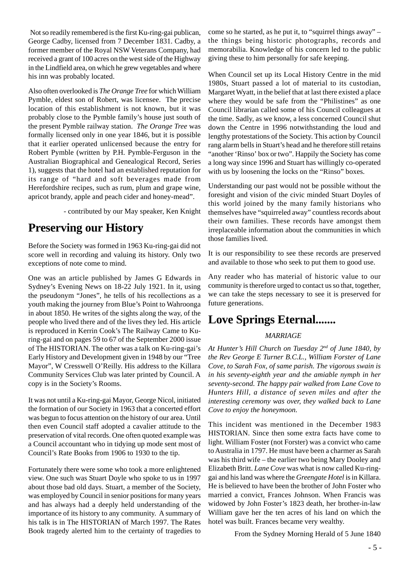Not so readily remembered is the first Ku-ring-gai publican, George Cadby, licensed from 7 December 1831. Cadby, a former member of the Royal NSW Veterans Company, had received a grant of 100 acres on the west side of the Highway in the Lindfield area, on which he grew vegetables and where his inn was probably located.

Also often overlooked is *The Orange Tree* for which William Pymble, eldest son of Robert, was licensee. The precise location of this establishment is not known, but it was probably close to the Pymble family's house just south of the present Pymble railway station. *The Orange Tree* was formally licensed only in one year 1846, but it is possible that it earlier operated unlicensed because the entry for Robert Pymble (written by P.H. Pymble-Ferguson in the Australian Biographical and Genealogical Record, Series 1), suggests that the hotel had an established reputation for its range of "hard and soft beverages made from Herefordshire recipes, such as rum, plum and grape wine, apricot brandy, apple and peach cider and honey-mead".

- contributed by our May speaker, Ken Knight

### **Preserving our History**

Before the Society was formed in 1963 Ku-ring-gai did not score well in recording and valuing its history. Only two exceptions of note come to mind.

One was an article published by James G Edwards in Sydney's Evening News on 18-22 July 1921. In it, using the pseudonym "Jones", he tells of his recollections as a youth making the journey from Blue's Point to Wahroonga in about 1850. He writes of the sights along the way, of the people who lived there and of the lives they led. His article is reproduced in Kerrin Cook's The Railway Came to Kuring-gai and on pages 59 to 67 of the September 2000 issue of The HISTORIAN. The other was a talk on Ku-ring-gai's Early History and Development given in 1948 by our "Tree Mayor", W Cresswell O'Reilly. His address to the Killara Community Services Club was later printed by Council. A copy is in the Society's Rooms.

It was not until a Ku-ring-gai Mayor, George Nicol, initiated the formation of our Society in 1963 that a concerted effort was begun to focus attention on the history of our area. Until then even Council staff adopted a cavalier attitude to the preservation of vital records. One often quoted example was a Council accountant who in tidying up mode sent most of Council's Rate Books from 1906 to 1930 to the tip.

Fortunately there were some who took a more enlightened view. One such was Stuart Doyle who spoke to us in 1997 about those bad old days. Stuart, a member of the Society, was employed by Council in senior positions for many years and has always had a deeply held understanding of the importance of its history to any community. A summary of his talk is in The HISTORIAN of March 1997. The Rates Book tragedy alerted him to the certainty of tragedies to come so he started, as he put it, to "squirrel things away" – the things being historic photographs, records and memorabilia. Knowledge of his concern led to the public giving these to him personally for safe keeping.

When Council set up its Local History Centre in the mid 1980s, Stuart passed a lot of material to its custodian, Margaret Wyatt, in the belief that at last there existed a place where they would be safe from the "Philistines" as one Council librarian called some of his Council colleagues at the time. Sadly, as we know, a less concerned Council shut down the Centre in 1996 notwithstanding the loud and lengthy protestations of the Society. This action by Council rang alarm bells in Stuart's head and he therefore still retains "another 'Rinso' box or two". Happily the Society has come a long way since 1996 and Stuart has willingly co-operated with us by loosening the locks on the "Rinso" boxes.

Understanding our past would not be possible without the foresight and vision of the civic minded Stuart Doyles of this world joined by the many family historians who themselves have "squirreled away" countless records about their own families. These records have amongst them irreplaceable information about the communities in which those families lived.

It is our responsibility to see these records are preserved and available to those who seek to put them to good use.

Any reader who has material of historic value to our community is therefore urged to contact us so that, together, we can take the steps necessary to see it is preserved for future generations.

# **Love Springs Eternal.......**

#### *MARRIAGE*

*At Hunter's Hill Church on Tuesday 2nd of June 1840, by the Rev George E Turner B.C.L., William Forster of Lane Cove, to Sarah Fox, of same parish. The vigorous swain is in his seventy-eighth year and the amiable nymph in her seventy-second. The happy pair walked from Lane Cove to Hunters Hill, a distance of seven miles and after the interesting ceremony was over, they walked back to Lane Cove to enjoy the honeymoon.*

This incident was mentioned in the December 1983 HISTORIAN. Since then some extra facts have come to light. William Foster (not Forster) was a convict who came to Australia in 1797. He must have been a charmer as Sarah was his third wife – the earlier two being Mary Dooley and Elizabeth Britt. *Lane Cove* was what is now called Ku-ringgai and his land was where the *Greengate Hotel* is in Killara. He is believed to have been the brother of John Foster who married a convict, Frances Johnson. When Francis was widowed by John Foster's 1823 death, her brother-in-law William gave her the ten acres of his land on which the hotel was built. Frances became very wealthy.

From the Sydney Morning Herald of 5 June 1840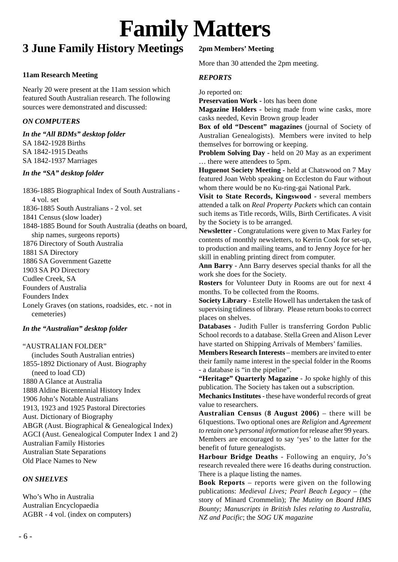# **Family Matters**

# **3 June Family History Meetings**

#### **11am Research Meeting**

Nearly 20 were present at the 11am session which featured South Australian research. The following sources were demonstrated and discussed:

#### *ON COMPUTERS*

*In the "All BDMs" desktop folder* SA 1842-1928 Births SA 1842-1915 Deaths SA 1842-1937 Marriages

*In the "SA" desktop folder*

1836-1885 Biographical Index of South Australians - 4 vol. set 1836-1885 South Australians - 2 vol. set 1841 Census (slow loader) 1848-1885 Bound for South Australia (deaths on board, ship names, surgeons reports) 1876 Directory of South Australia 1881 SA Directory 1886 SA Government Gazette 1903 SA PO Directory Cudlee Creek, SA Founders of Australia Founders Index Lonely Graves (on stations, roadsides, etc. - not in cemeteries)

#### *In the "Australian" desktop folder*

"AUSTRALIAN FOLDER" (includes South Australian entries) 1855-1892 Dictionary of Aust. Biography (need to load CD) 1880 A Glance at Australia 1888 Aldine Bicentennial History Index 1906 John's Notable Australians 1913, 1923 and 1925 Pastoral Directories Aust. Dictionary of Biography ABGR (Aust. Biographical & Genealogical Index) AGCI (Aust. Genealogical Computer Index 1 and 2) Australian Family Histories Australian State Separations Old Place Names to New

#### *ON SHELVES*

Who's Who in Australia Australian Encyclopaedia AGBR - 4 vol. (index on computers)

#### **2pm Members' Meeting**

More than 30 attended the 2pm meeting.

#### *REPORTS*

Jo reported on:

**Preservation Work -** lots has been done

**Magazine Holders -** being made from wine casks, more casks needed, Kevin Brown group leader

**Box of old "Descent" magazines** (journal of Society of Australian Genealogists). Members were invited to help themselves for borrowing or keeping.

**Problem Solving Day** *-* held on 20 May as an experiment … there were attendees to 5pm.

**Huguenot Society Meeting** *-* held at Chatswood on 7 May featured Joan Webb speaking on Eccleston du Faur without whom there would be no Ku-ring-gai National Park.

**Visit to State Records, Kingswood** *-* several members attended a talk on *Real Property Packets* which can contain such items as Title records, Wills, Birth Certificates. A visit by the Society is to be arranged.

**Newsletter -** Congratulations were given to Max Farley for contents of monthly newsletters, to Kerrin Cook for set-up, to production and mailing teams, and to Jenny Joyce for her skill in enabling printing direct from computer.

**Ann Barry** - Ann Barry deserves special thanks for all the work she does for the Society.

**Rosters** for Volunteer Duty in Rooms are out for next 4 months. To be collected from the Rooms.

**Society Library** - Estelle Howell has undertaken the task of supervising tidiness of library. Please return books to correct places on shelves.

**Databases** - Judith Fuller is transferring Gordon Public School records to a database. Stella Green and Alison Lever have started on Shipping Arrivals of Members' families.

**Members Research Interests** – members are invited to enter their family name interest in the special folder in the Rooms - a database is "in the pipeline".

**"Heritage" Quarterly Magazine** - Jo spoke highly of this publication. The Society has taken out a subscription.

**Mechanics Institutes** - these have wonderful records of great value to researchers.

**Australian Census** (**8 August 2006)** – there will be 61questions. Two optional ones are *Religion* and *Agreement to retain one's personal information* for release after 99 years. Members are encouraged to say 'yes' to the latter for the benefit of future genealogists.

**Harbour Bridge Deaths** - Following an enquiry, Jo's research revealed there were 16 deaths during construction. There is a plaque listing the names.

**Book Reports** – reports were given on the following publications: *Medieval Lives; Pearl Beach Legacy* – (the story of Minard Crommelin); *The Mutiny on Board HMS Bounty; Manuscripts in British Isles relating to Australia, NZ and Pacific*; the *SOG UK magazine*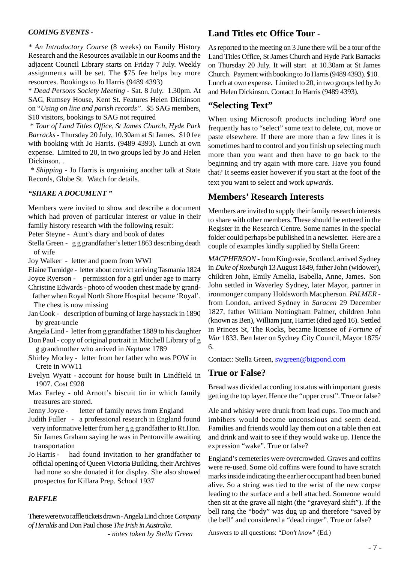#### *COMING EVENTS* **-**

*\* An Introductory Course* (8 weeks) on Family History Research and the Resources available in our Rooms and the adjacent Council Library starts on Friday 7 July. Weekly assignments will be set. The \$75 fee helps buy more resources. Bookings to Jo Harris (9489 4393)

\* *Dead Persons Society Meeting -* Sat. 8 July. 1.30pm. At SAG, Rumsey House, Kent St. Features Helen Dickinson on "*Using on line and parish records"*. \$5 SAG members, \$10 visitors, bookings to SAG not required

 \* *Tour of Land Titles Office, St James Church, Hyde Park Barracks* - Thursday 20 July, 10.30am at St James. \$10 fee with booking with Jo Harris. (9489 4393). Lunch at own expense. Limited to 20, in two groups led by Jo and Helen Dickinson. .

 *\* Shipping* - Jo Harris is organising another talk at State Records, Globe St. Watch for details.

#### *"SHARE A DOCUMENT "*

Members were invited to show and describe a document which had proven of particular interest or value in their family history research with the following result:

Peter Steyne - Aunt's diary and book of dates

Stella Green - g g grandfather's letter 1863 describing death of wife

Joy Walker - letter and poem from WWI

Elaine Turnidge - letter about convict arriving Tasmania 1824

Joyce Ryerson - permission for a girl under age to marry

- Christine Edwards photo of wooden chest made by grand father when Royal North Shore Hospital became 'Royal'. The chest is now missing
- Jan Cook description of burning of large haystack in 1890 by great-uncle

Angela Lind - letter from g grandfather 1889 to his daughter

- Don Paul copy of original portrait in Mitchell Library of g g grandmother who arrived in *Neptune* 1789
- Shirley Morley letter from her father who was POW in Crete in WW11
- Evelyn Wyatt account for house built in Lindfield in 1907. Cost £928

Max Farley - old Arnott's biscuit tin in which family treasures are stored.

Jenny Joyce - letter of family news from England

- Judith Fuller a professional research in England found very informative letter from her g g grandfather to Rt.Hon. Sir James Graham saying he was in Pentonville awaiting transportation
- Jo Harris had found invitation to her grandfather to official opening of Queen Victoria Building, their Archives had none so she donated it for display. She also showed prospectus for Killara Prep. School 1937

#### *RAFFLE*

There were two raffle tickets drawn - Angela Lind chose *Company of Heralds* and Don Paul chose *The Irish in Australia.*

*- notes taken by Stella Green*

#### **Land Titles etc Office Tour** -

As reported to the meeting on 3 June there will be a tour of the Land Titles Office, St James Church and Hyde Park Barracks on Thursday 20 July. It will start at 10.30am at St James Church. Payment with booking to Jo Harris (9489 4393). \$10. Lunch at own expense. Limited to 20, in two groups led by Jo and Helen Dickinson. Contact Jo Harris (9489 4393).

#### **"Selecting Text"**

When using Microsoft products including *Word* one frequently has to "select" some text to delete, cut, move or paste elsewhere. If there are more than a few lines it is sometimes hard to control and you finish up selecting much more than you want and then have to go back to the beginning and try again with more care. Have you found that? It seems easier however if you start at the foot of the text you want to select and work *upwards*.

#### **Members' Research Interests**

Members are invited to supply their family research interests to share with other members. These should be entered in the Register in the Research Centre. Some names in the special folder could perhaps be published in a newsletter. Here are a couple of examples kindly supplied by Stella Green:

*MACPHERSON* - from Kingussie, Scotland, arrived Sydney in *Duke of Roxburgh* 13 August 1849, father John (widower), children John, Emily Amelia, Isabella, Anne, James. Son John settled in Waverley Sydney, later Mayor, partner in ironmonger company Holdsworth Macpherson. *PALMER* from London, arrived Sydney in *Saracen* 29 December 1827, father William Nottingham Palmer, children John (known as Ben), William junr, Harriet (died aged 16). Settled in Princes St, The Rocks, became licensee of *Fortune of War* 1833. Ben later on Sydney City Council, Mayor 1875/ 6.

Contact: Stella Green, swgreen@bigpond.com

#### **True or False?**

Bread was divided according to status with important guests getting the top layer. Hence the "upper crust". True or false?

Ale and whisky were drunk from lead cups. Too much and imbibers would become unconscious and seem dead. Families and friends would lay them out on a table then eat and drink and wait to see if they would wake up. Hence the expression "wake". True or false?

England's cemeteries were overcrowded. Graves and coffins were re-used. Some old coffins were found to have scratch marks inside indicating the earlier occupant had been buried alive. So a string was tied to the wrist of the new corpse leading to the surface and a bell attached. Someone would then sit at the grave all night (the "graveyard shift"). If the bell rang the "body" was dug up and therefore "saved by the bell" and considered a "dead ringer". True or false?

Answers to all questions: "*Don't know*" (Ed.)